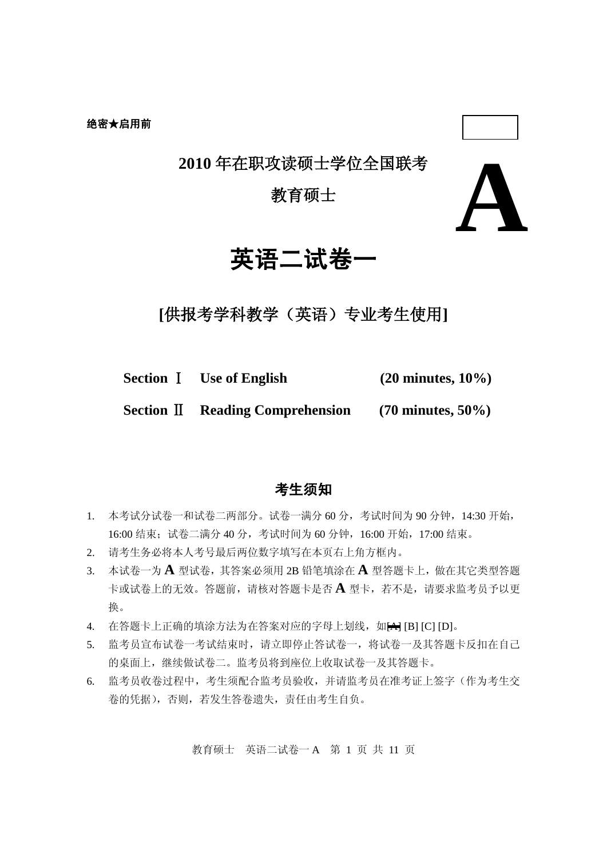**2010** 年在职攻读硕士学位全国联考

## 教育硕士



# 英语二试卷一

**[**供报考学科教学(英语)专业考生使用**]**

**Section** Ⅰ **Use of English (20 minutes, 10%)**

**Section** Ⅱ **Reading Comprehension (70 minutes, 50%)**

## 考生须知

- 1. 本考试分试卷一和试卷二两部分。试卷一满分 60 分,考试时间为 90 分钟,14:30 开始, 16:00 结束;试卷二满分 40 分,考试时间为 60 分钟,16:00 开始,17:00 结束。
- 2. 请考生务必将本人考号最后两位数字填写在本页右上角方框内。
- 3. 本试卷一为 **A** 型试卷,其答案必须用 2B 铅笔填涂在 **A** 型答题卡上,做在其它类型答题 卡或试卷上的无效。答题前,请核对答题卡是否 **A** 型卡,若不是,请要求监考员予以更 换。
- 4. 在答题卡上正确的填涂方法为在答案对应的字母上划线,如HHI [B] [C] [D]。
- 5. 监考员宣布试卷一考试结束时,请立即停止答试卷一,将试卷一及其答题卡反扣在自己 的桌面上, 继续做试卷二。监考员将到座位上收取试卷一及其答题卡。
- 6. 监考员收卷过程中,考生须配合监考员验收,并请监考员在准考证上签字(作为考生交 卷的凭据),否则,若发生答卷遗失,责任由考生自负。

教育硕士 英语二试卷一 A 第 1 页 共 11 页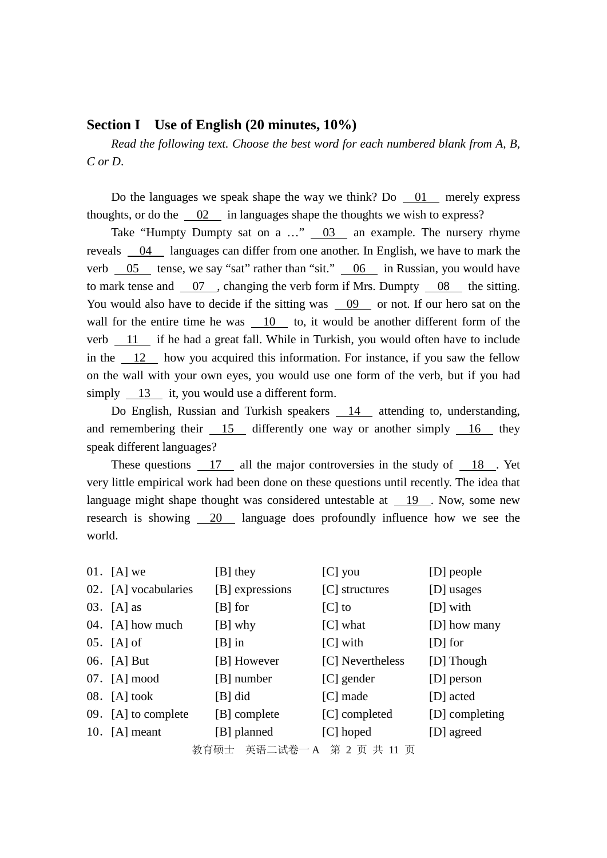#### **Section I Use of English (20 minutes, 10%)**

*Read the following text. Choose the best word for each numbered blank from A, B, C or D*.

Do the languages we speak shape the way we think? Do 01 merely express thoughts, or do the  $\frac{02}{1}$  in languages shape the thoughts we wish to express?

Take "Humpty Dumpty sat on a  $\ldots$ "  $\qquad \qquad$  03 an example. The nursery rhyme reveals 04 languages can differ from one another. In English, we have to mark the verb  $\frac{05}{\sqrt{5}}$  tense, we say "sat" rather than "sit."  $\frac{06}{\sqrt{5}}$  in Russian, you would have to mark tense and 07 , changing the verb form if Mrs. Dumpty 08 the sitting. You would also have to decide if the sitting was 09 or not. If our hero sat on the wall for the entire time he was 10 to, it would be another different form of the verb 11 if he had a great fall. While in Turkish, you would often have to include in the 12 how you acquired this information. For instance, if you saw the fellow on the wall with your own eyes, you would use one form of the verb, but if you had simply  $13$  it, you would use a different form.

Do English, Russian and Turkish speakers 14 attending to, understanding, and remembering their 15 differently one way or another simply 16 they speak different languages?

These questions 17 all the major controversies in the study of  $18$ . Yet very little empirical work had been done on these questions until recently. The idea that language might shape thought was considered untestable at 19 . Now, some new research is showing 20 language does profoundly influence how we see the world.

|                                 | 01. $[A]$ we         | $[B]$ they      | $[C]$ you        | [D] people     |  |  |
|---------------------------------|----------------------|-----------------|------------------|----------------|--|--|
|                                 | 02. [A] vocabularies | [B] expressions | [C] structures   | [D] usages     |  |  |
|                                 | 03. $[A]$ as         | $[B]$ for       | $ C $ to         | [D] with       |  |  |
|                                 | 04. [A] how much     | $[B]$ why       | $[C]$ what       | [D] how many   |  |  |
|                                 | $05.$ [A] of         | $[B]$ in        | $[C]$ with       | $[D]$ for      |  |  |
|                                 | 06. [A] But          | [B] However     | [C] Nevertheless | [D] Though     |  |  |
|                                 | 07. [A] mood         | [B] number      | $[C]$ gender     | [D] person     |  |  |
|                                 | $08.$ [A] took       | $[B]$ did       | $[C]$ made       | [D] acted      |  |  |
|                                 | 09. [A] to complete  | [B] complete    | [C] completed    | [D] completing |  |  |
|                                 | 10. $[A]$ meant      | [B] planned     | $[C]$ hoped      | [D] agreed     |  |  |
| 势有项工  畫項 一連半  ▲  竺  奇  冊  f1  青 |                      |                 |                  |                |  |  |

教育硕士 英语二试卷一 A 第 2 页 共 11 页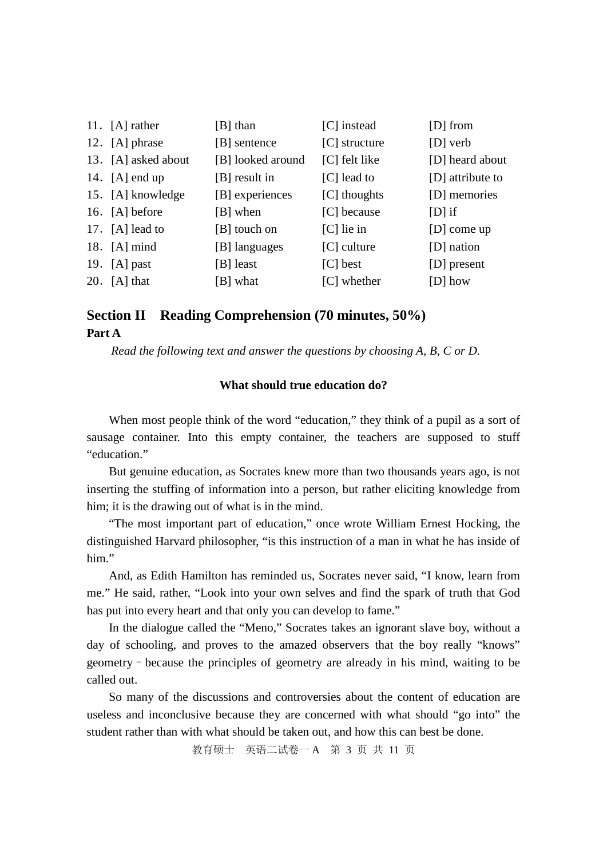| 11. $[A]$ rather    | [B] than          | [C] instead     | $[D]$ from       |
|---------------------|-------------------|-----------------|------------------|
| 12. [A] phrase      | [B] sentence      | $[C]$ structure | [D] verb         |
| 13. [A] asked about | [B] looked around | [C] felt like   | [D] heard about  |
| 14. $[A]$ end up    | $[B]$ result in   | $[C]$ lead to   | [D] attribute to |
| 15. [A] knowledge   | [B] experiences   | [C] thoughts    | [D] memories     |
| 16. $[A]$ before    | [B] when          | [C] because     | $[D]$ if         |
| 17. $[A]$ lead to   | [B] touch on      | $[C]$ lie in    | $[D]$ come up    |
| 18. $[A]$ mind      | [B] languages     | $[C]$ culture   | [D] nation       |
| 19. $[A]$ past      | [B] least         | $[C]$ best      | [D] present      |
| 20. $[A]$ that      | [B] what          | [C] whether     | $[D]$ how        |

## **Section II Reading Comprehension (70 minutes, 50%) Part A**

*Read the following text and answer the questions by choosing A, B, C or D.*

#### **What should true education do?**

When most people think of the word "education," they think of a pupil as a sort of sausage container. Into this empty container, the teachers are supposed to stuff "education."

But genuine education, as Socrates knew more than two thousands years ago, is not inserting the stuffing of information into a person, but rather eliciting knowledge from him; it is the drawing out of what is in the mind.

"The most important part of education," once wrote William Ernest Hocking, the distinguished Harvard philosopher, "is this instruction of a man in what he has inside of him"

And, as Edith Hamilton has reminded us, Socrates never said, "I know, learn from me." He said, rather, "Look into your own selves and find the spark of truth that God has put into every heart and that only you can develop to fame."

In the dialogue called the "Meno," Socrates takes an ignorant slave boy, without a day of schooling, and proves to the amazed observers that the boy really "knows" geometry–because the principles of geometry are already in his mind, waiting to be called out.

So many of the discussions and controversies about the content of education are useless and inconclusive because they are concerned with what should "go into" the student rather than with what should be taken out, and how this can best be done.

教育硕士 英语二试卷一 A 第 3 页 共 11 页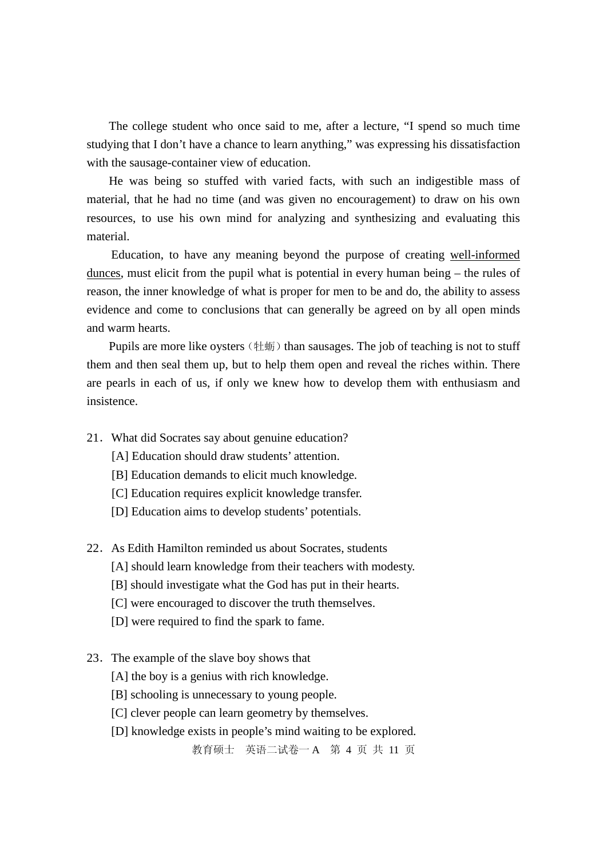The college student who once said to me, after a lecture, "I spend so much time studying that I don't have a chance to learn anything," was expressing his dissatisfaction with the sausage-container view of education.

He was being so stuffed with varied facts, with such an indigestible mass of material, that he had no time (and was given no encouragement) to draw on his own resources, to use his own mind for analyzing and synthesizing and evaluating this material.

 Education, to have any meaning beyond the purpose of creating well-informed dunces, must elicit from the pupil what is potential in every human being – the rules of reason, the inner knowledge of what is proper for men to be and do, the ability to assess evidence and come to conclusions that can generally be agreed on by all open minds and warm hearts.

Pupils are more like oysters (牡蛎) than sausages. The job of teaching is not to stuff them and then seal them up, but to help them open and reveal the riches within. There are pearls in each of us, if only we knew how to develop them with enthusiasm and insistence.

- 21.What did Socrates say about genuine education?
	- [A] Education should draw students' attention.
	- [B] Education demands to elicit much knowledge.
	- [C] Education requires explicit knowledge transfer.
	- [D] Education aims to develop students' potentials.
- 22. As Edith Hamilton reminded us about Socrates, students
	- [A] should learn knowledge from their teachers with modesty.
	- [B] should investigate what the God has put in their hearts.
	- [C] were encouraged to discover the truth themselves.
	- [D] were required to find the spark to fame.
- 23.The example of the slave boy shows that
	- [A] the boy is a genius with rich knowledge.
	- [B] schooling is unnecessary to young people.
	- [C] clever people can learn geometry by themselves.
	- [D] knowledge exists in people's mind waiting to be explored.

教育硕士 英语二试卷一 A 第 4 页 共 11 页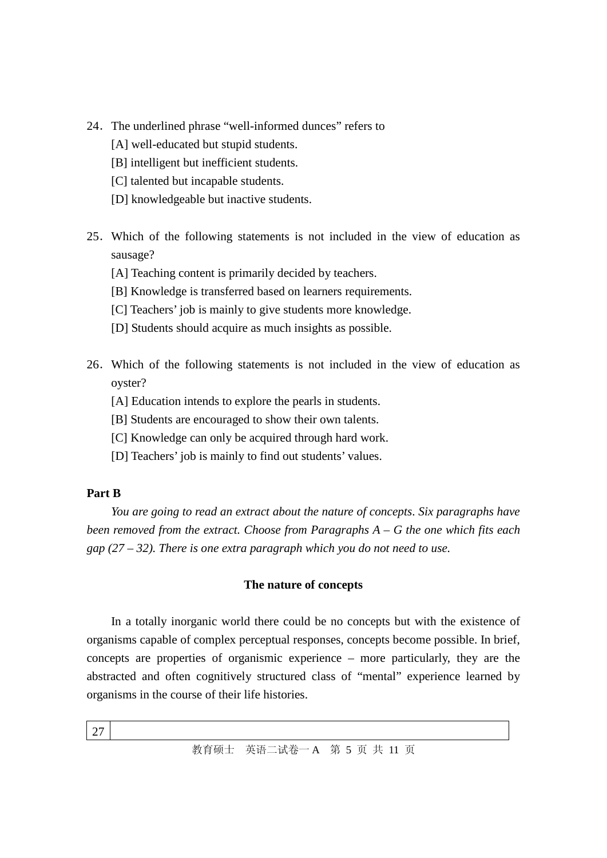- 24.The underlined phrase "well-informed dunces" refers to
	- [A] well-educated but stupid students.
	- [B] intelligent but inefficient students.
	- [C] talented but incapable students.
	- [D] knowledgeable but inactive students.
- 25.Which of the following statements is not included in the view of education as sausage?
	- [A] Teaching content is primarily decided by teachers.
	- [B] Knowledge is transferred based on learners requirements.
	- [C] Teachers' job is mainly to give students more knowledge.
	- [D] Students should acquire as much insights as possible.
- 26.Which of the following statements is not included in the view of education as oyster?
	- [A] Education intends to explore the pearls in students.
	- [B] Students are encouraged to show their own talents.
	- [C] Knowledge can only be acquired through hard work.
	- [D] Teachers' job is mainly to find out students' values.

#### **Part B**

*You are going to read an extract about the nature of concepts*. *Six paragraphs have been removed from the extract. Choose from Paragraphs A* – *G the one which fits each gap (27* – *32). There is one extra paragraph which you do not need to use.*

#### **The nature of concepts**

In a totally inorganic world there could be no concepts but with the existence of organisms capable of complex perceptual responses, concepts become possible. In brief, concepts are properties of organismic experience – more particularly, they are the abstracted and often cognitively structured class of "mental" experience learned by organisms in the course of their life histories.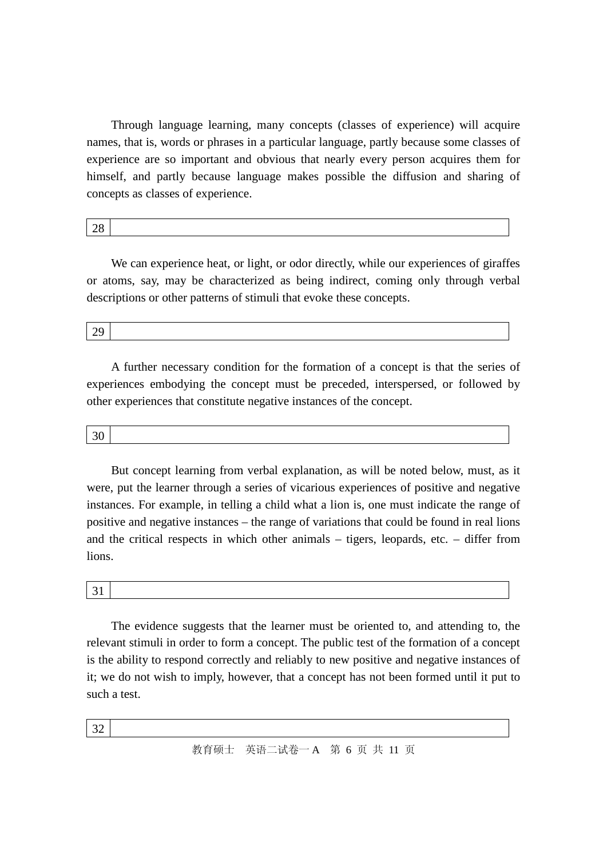Through language learning, many concepts (classes of experience) will acquire names, that is, words or phrases in a particular language, partly because some classes of experience are so important and obvious that nearly every person acquires them for himself, and partly because language makes possible the diffusion and sharing of concepts as classes of experience.

28

We can experience heat, or light, or odor directly, while our experiences of giraffes or atoms, say, may be characterized as being indirect, coming only through verbal descriptions or other patterns of stimuli that evoke these concepts.

29

A further necessary condition for the formation of a concept is that the series of experiences embodying the concept must be preceded, interspersed, or followed by other experiences that constitute negative instances of the concept.

30

But concept learning from verbal explanation, as will be noted below, must, as it were, put the learner through a series of vicarious experiences of positive and negative instances. For example, in telling a child what a lion is, one must indicate the range of positive and negative instances – the range of variations that could be found in real lions and the critical respects in which other animals – tigers, leopards, etc. – differ from lions.

31

The evidence suggests that the learner must be oriented to, and attending to, the relevant stimuli in order to form a concept. The public test of the formation of a concept is the ability to respond correctly and reliably to new positive and negative instances of it; we do not wish to imply, however, that a concept has not been formed until it put to such a test.

32

教育硕士 英语二试卷一 A 第 6 页 共 11 页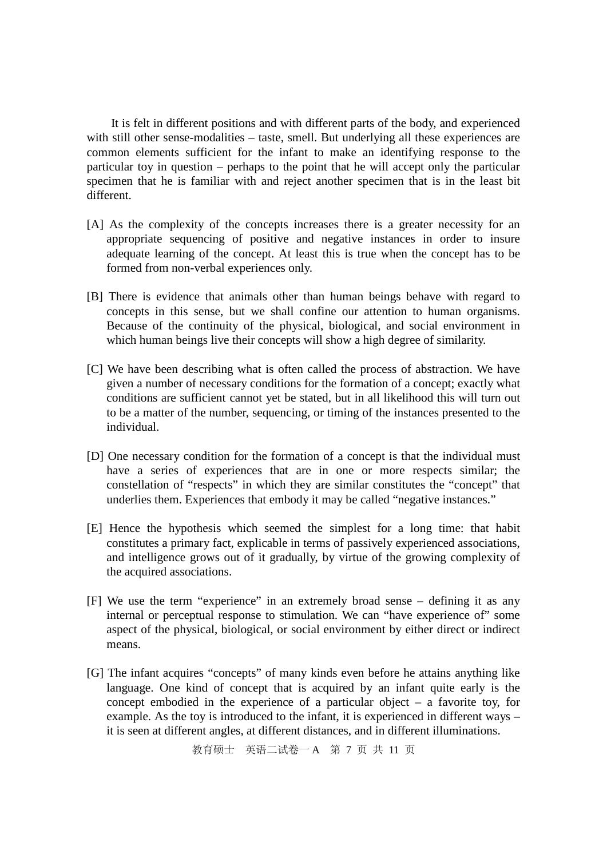It is felt in different positions and with different parts of the body, and experienced with still other sense-modalities – taste, smell. But underlying all these experiences are common elements sufficient for the infant to make an identifying response to the particular toy in question – perhaps to the point that he will accept only the particular specimen that he is familiar with and reject another specimen that is in the least bit different.

- [A] As the complexity of the concepts increases there is a greater necessity for an appropriate sequencing of positive and negative instances in order to insure adequate learning of the concept. At least this is true when the concept has to be formed from non-verbal experiences only.
- [B] There is evidence that animals other than human beings behave with regard to concepts in this sense, but we shall confine our attention to human organisms. Because of the continuity of the physical, biological, and social environment in which human beings live their concepts will show a high degree of similarity.
- [C] We have been describing what is often called the process of abstraction. We have given a number of necessary conditions for the formation of a concept; exactly what conditions are sufficient cannot yet be stated, but in all likelihood this will turn out to be a matter of the number, sequencing, or timing of the instances presented to the individual.
- [D] One necessary condition for the formation of a concept is that the individual must have a series of experiences that are in one or more respects similar; the constellation of "respects" in which they are similar constitutes the "concept" that underlies them. Experiences that embody it may be called "negative instances."
- [E] Hence the hypothesis which seemed the simplest for a long time: that habit constitutes a primary fact, explicable in terms of passively experienced associations, and intelligence grows out of it gradually, by virtue of the growing complexity of the acquired associations.
- [F] We use the term "experience" in an extremely broad sense defining it as any internal or perceptual response to stimulation. We can "have experience of" some aspect of the physical, biological, or social environment by either direct or indirect means.
- [G] The infant acquires "concepts" of many kinds even before he attains anything like language. One kind of concept that is acquired by an infant quite early is the concept embodied in the experience of a particular object – a favorite toy, for example. As the toy is introduced to the infant, it is experienced in different ways – it is seen at different angles, at different distances, and in different illuminations.

教育硕士 英语二试卷一 A 第 7 页 共 11 页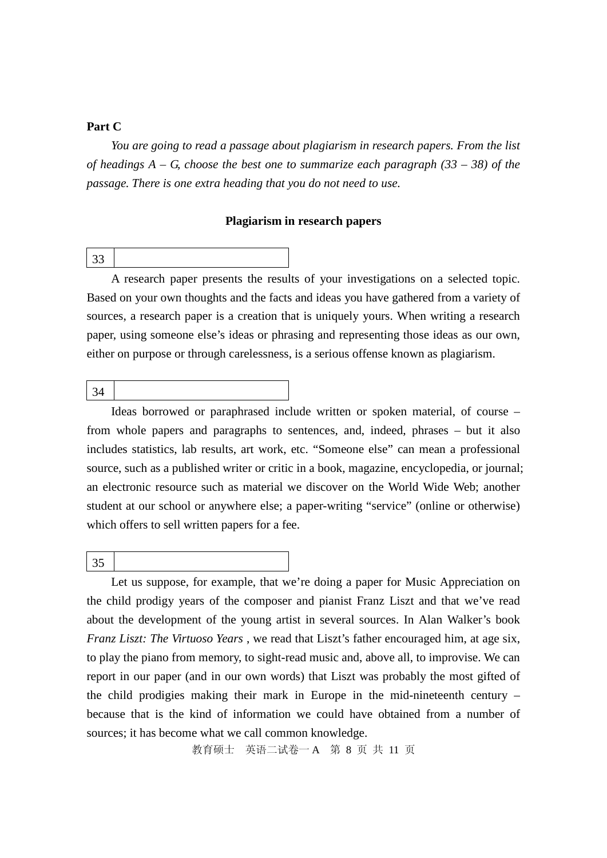#### **Part C**

*You are going to read a passage about plagiarism in research papers. From the list of headings A* – *G, choose the best one to summarize each paragraph (33* – *38) of the passage. There is one extra heading that you do not need to use.*

#### **Plagiarism in research papers**

A research paper presents the results of your investigations on a selected topic. Based on your own thoughts and the facts and ideas you have gathered from a variety of sources, a research paper is a creation that is uniquely yours. When writing a research paper, using someone else's ideas or phrasing and representing those ideas as our own, either on purpose or through carelessness, is a serious offense known as plagiarism.

Ideas borrowed or paraphrased include written or spoken material, of course – from whole papers and paragraphs to sentences, and, indeed, phrases – but it also includes statistics, lab results, art work, etc. "Someone else" can mean a professional source, such as a published writer or critic in a book, magazine, encyclopedia, or journal; an electronic resource such as material we discover on the World Wide Web; another student at our school or anywhere else; a paper-writing "service" (online or otherwise) which offers to sell written papers for a fee.

35

Let us suppose, for example, that we're doing a paper for Music Appreciation on the child prodigy years of the composer and pianist Franz Liszt and that we've read about the development of the young artist in several sources. In Alan Walker's book *Franz Liszt: The Virtuoso Years* , we read that Liszt's father encouraged him, at age six, to play the piano from memory, to sight-read music and, above all, to improvise. We can report in our paper (and in our own words) that Liszt was probably the most gifted of the child prodigies making their mark in Europe in the mid-nineteenth century – because that is the kind of information we could have obtained from a number of sources; it has become what we call common knowledge.

教育硕士 英语二试卷一 A 第 8 页 共 11 页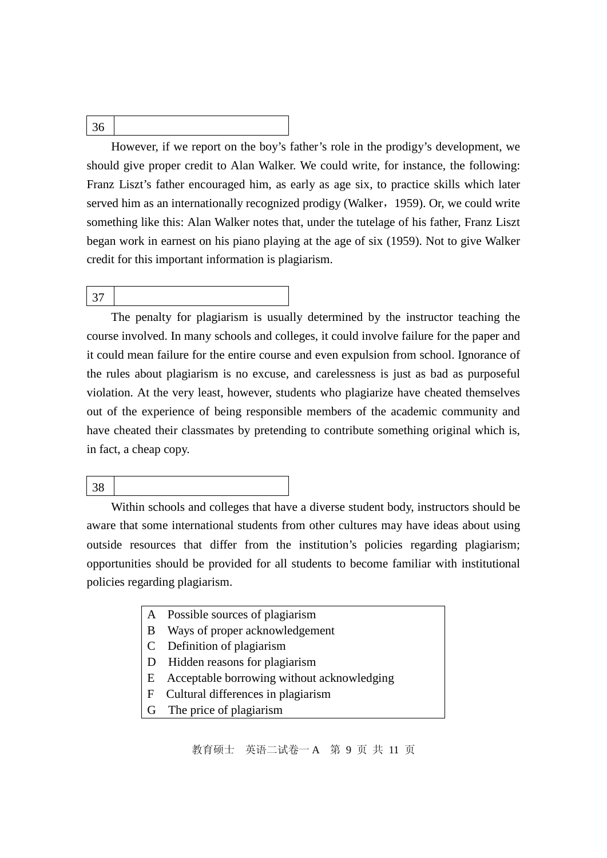## 36

However, if we report on the boy's father's role in the prodigy's development, we should give proper credit to Alan Walker. We could write, for instance, the following: Franz Liszt's father encouraged him, as early as age six, to practice skills which later served him as an internationally recognized prodigy (Walker, 1959). Or, we could write something like this: Alan Walker notes that, under the tutelage of his father, Franz Liszt began work in earnest on his piano playing at the age of six (1959). Not to give Walker credit for this important information is plagiarism.

#### 37

The penalty for plagiarism is usually determined by the instructor teaching the course involved. In many schools and colleges, it could involve failure for the paper and it could mean failure for the entire course and even expulsion from school. Ignorance of the rules about plagiarism is no excuse, and carelessness is just as bad as purposeful violation. At the very least, however, students who plagiarize have cheated themselves out of the experience of being responsible members of the academic community and have cheated their classmates by pretending to contribute something original which is, in fact, a cheap copy.

#### 38

Within schools and colleges that have a diverse student body, instructors should be aware that some international students from other cultures may have ideas about using outside resources that differ from the institution's policies regarding plagiarism; opportunities should be provided for all students to become familiar with institutional policies regarding plagiarism.

- A Possible sources of plagiarism
- B Ways of proper acknowledgement
- C Definition of plagiarism
- D Hidden reasons for plagiarism
- E Acceptable borrowing without acknowledging
- F Cultural differences in plagiarism
- G The price of plagiarism

教育硕士 英语二试卷一 A 第 9 页 共 11 页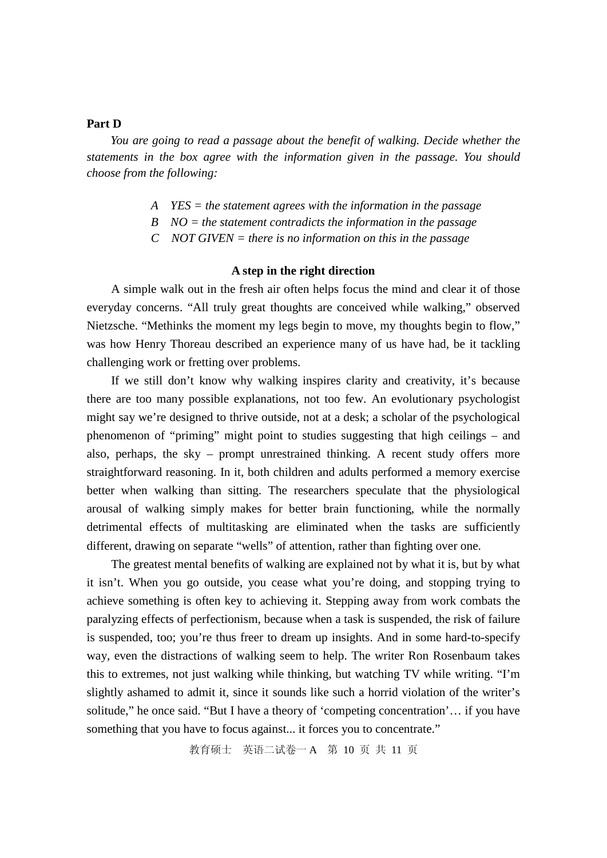#### **Part D**

*You are going to read a passage about the benefit of walking. Decide whether the statements in the box agree with the information given in the passage. You should choose from the following:*

- *A YES = the statement agrees with the information in the passage*
- *B NO = the statement contradicts the information in the passage*
- *C NOT GIVEN = there is no information on this in the passage*

#### **A step in the right direction**

A simple walk out in the fresh air often helps focus the mind and clear it of those everyday concerns. "All truly great thoughts are conceived while walking," observed Nietzsche. "Methinks the moment my legs begin to move, my thoughts begin to flow," was how Henry Thoreau described an experience many of us have had, be it tackling challenging work or fretting over problems.

If we still don't know why walking inspires clarity and creativity, it's because there are too many possible explanations, not too few. An evolutionary psychologist might say we're designed to thrive outside, not at a desk; a scholar of the psychological phenomenon of "priming" might point to studies suggesting that high ceilings – and also, perhaps, the sky – prompt unrestrained thinking. A recent study offers more straightforward reasoning. In it, both children and adults performed a memory exercise better when walking than sitting. The researchers speculate that the physiological arousal of walking simply makes for better brain functioning, while the normally detrimental effects of multitasking are eliminated when the tasks are sufficiently different, drawing on separate "wells" of attention, rather than fighting over one.

The greatest mental benefits of walking are explained not by what it is, but by what it isn't. When you go outside, you cease what you're doing, and stopping trying to achieve something is often key to achieving it. Stepping away from work combats the paralyzing effects of perfectionism, because when a task is suspended, the risk of failure is suspended, too; you're thus freer to dream up insights. And in some hard-to-specify way, even the distractions of walking seem to help. The writer Ron Rosenbaum takes this to extremes, not just walking while thinking, but watching TV while writing. "I'm slightly ashamed to admit it, since it sounds like such a horrid violation of the writer's solitude," he once said. "But I have a theory of 'competing concentration'… if you have something that you have to focus against... it forces you to concentrate."

教育硕士 英语二试卷一 A 第 10 页 共 11 页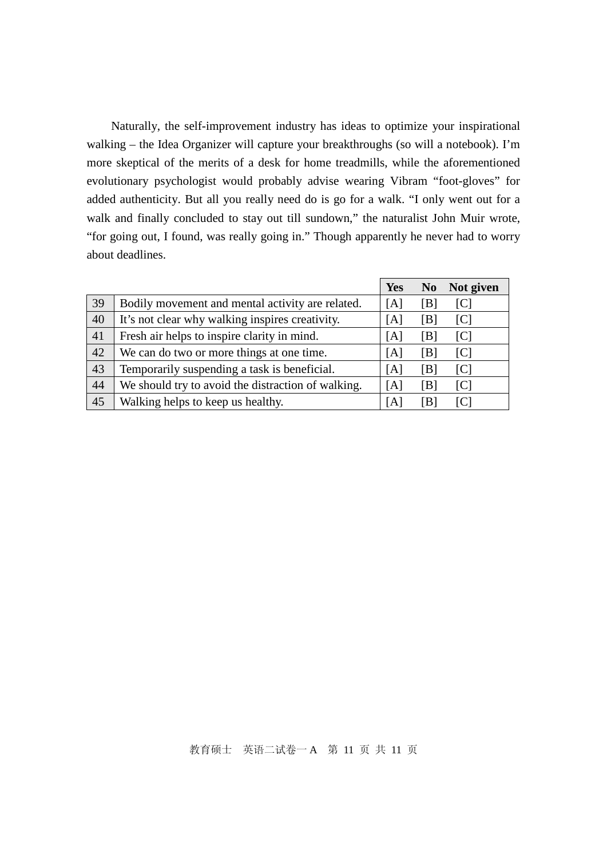Naturally, the self-improvement industry has ideas to optimize your inspirational walking – the Idea Organizer will capture your breakthroughs (so will a notebook). I'm more skeptical of the merits of a desk for home treadmills, while the aforementioned evolutionary psychologist would probably advise wearing Vibram "foot-gloves" for added authenticity. But all you really need do is go for a walk. "I only went out for a walk and finally concluded to stay out till sundown," the naturalist John Muir wrote, "for going out, I found, was really going in." Though apparently he never had to worry about deadlines.

|    |                                                    | <b>Yes</b> | N <sub>0</sub> | Not given      |
|----|----------------------------------------------------|------------|----------------|----------------|
| 39 | Bodily movement and mental activity are related.   | [A]        | [B]            | [C]            |
| 40 | It's not clear why walking inspires creativity.    | [A]        | [B]            | [C]            |
| 41 | Fresh air helps to inspire clarity in mind.        | [A]        | [B]            | [C]            |
| 42 | We can do two or more things at one time.          | [A]        | [B]            | $\overline{C}$ |
| 43 | Temporarily suspending a task is beneficial.       | [A]        | [B]            | [C]            |
| 44 | We should try to avoid the distraction of walking. | [A]        | [B]            | [C]            |
| 45 | Walking helps to keep us healthy.                  | [A]        | IBI            | IC.            |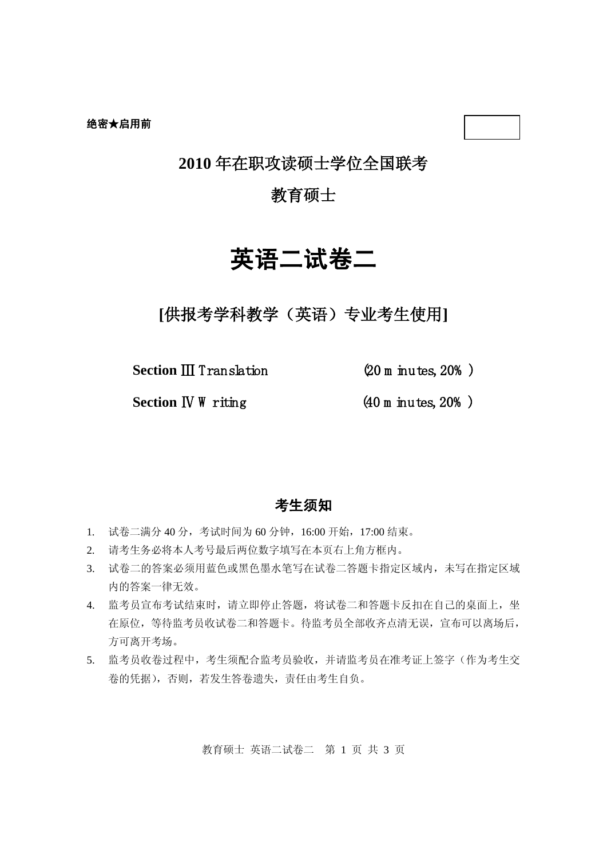## **2010** 年在职攻读硕士学位全国联考

## 教育硕士

# 英语二试卷二

**[**供报考学科教学(英语)专业考生使用**]**

**Section** Ⅲ Translation (20 m inutes, 20% )

**Section IV W** riting (40 m inutes, 20%)

## 考生须知

- 1. 试卷二满分 40 分,考试时间为 60 分钟,16:00 开始,17:00 结束。
- 2. 请考生务必将本人考号最后两位数字填写在本页右上角方框内。
- 3. 试卷二的答案必须用蓝色或黑色墨水笔写在试卷二答题卡指定区域内,未写在指定区域 内的答案一律无效。
- 4. 监考员宣布考试结束时,请立即停止答题,将试卷二和答题卡反扣在自己的桌面上,坐 在原位,等待监考员收试卷二和答题卡。待监考员全部收齐点清无误,宣布可以离场后, 方可离开考场。
- 5. 监考员收卷过程中,考生须配合监考员验收,并请监考员在准考证上签字(作为考生交 卷的凭据),否则,若发生答卷遗失,责任由考生自负。

教育硕士 英语二试卷二 第 1 页 共 3 页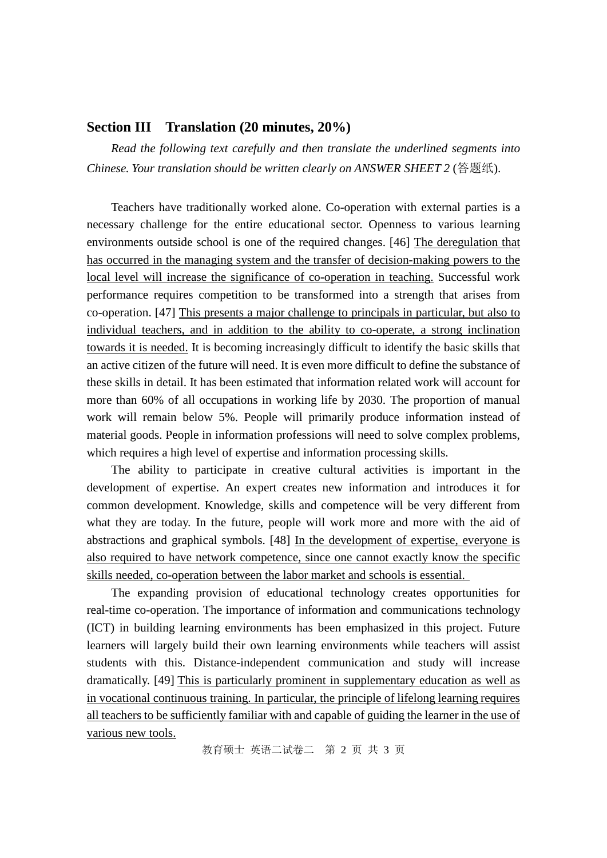#### **Section III Translation (20 minutes, 20%)**

*Read the following text carefully and then translate the underlined segments into Chinese. Your translation should be written clearly on ANSWER SHEET 2* (答题纸).

Teachers have traditionally worked alone. Co-operation with external parties is a necessary challenge for the entire educational sector. Openness to various learning environments outside school is one of the required changes. [46] The deregulation that has occurred in the managing system and the transfer of decision-making powers to the local level will increase the significance of co-operation in teaching. Successful work performance requires competition to be transformed into a strength that arises from co-operation. [47] This presents a major challenge to principals in particular, but also to individual teachers, and in addition to the ability to co-operate, a strong inclination towards it is needed. It is becoming increasingly difficult to identify the basic skills that an active citizen of the future will need. It is even more difficult to define the substance of these skills in detail. It has been estimated that information related work will account for more than 60% of all occupations in working life by 2030. The proportion of manual work will remain below 5%. People will primarily produce information instead of material goods. People in information professions will need to solve complex problems, which requires a high level of expertise and information processing skills.

The ability to participate in creative cultural activities is important in the development of expertise. An expert creates new information and introduces it for common development. Knowledge, skills and competence will be very different from what they are today. In the future, people will work more and more with the aid of abstractions and graphical symbols. [48] In the development of expertise, everyone is also required to have network competence, since one cannot exactly know the specific skills needed, co-operation between the labor market and schools is essential.

The expanding provision of educational technology creates opportunities for real-time co-operation. The importance of information and communications technology (ICT) in building learning environments has been emphasized in this project. Future learners will largely build their own learning environments while teachers will assist students with this. Distance-independent communication and study will increase dramatically. [49] This is particularly prominent in supplementary education as well as in vocational continuous training. In particular, the principle of lifelong learning requires all teachers to be sufficiently familiar with and capable of guiding the learner in the use of various new tools.

教育硕士 英语二试卷二 第 2 页 共 3 页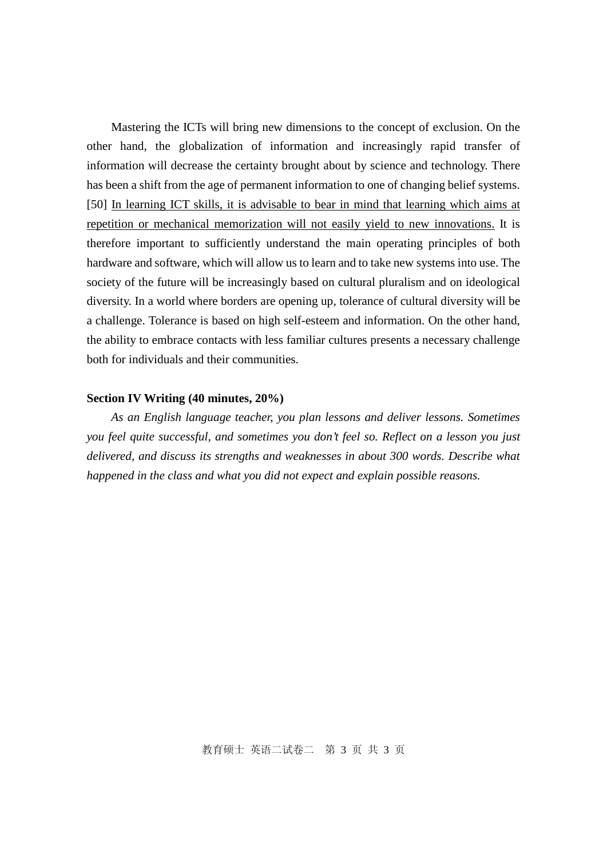Mastering the ICTs will bring new dimensions to the concept of exclusion. On the other hand, the globalization of information and increasingly rapid transfer of information will decrease the certainty brought about by science and technology. There has been a shift from the age of permanent information to one of changing belief systems. [50] In learning ICT skills, it is advisable to bear in mind that learning which aims at repetition or mechanical memorization will not easily yield to new innovations. It is therefore important to sufficiently understand the main operating principles of both hardware and software, which will allow us to learn and to take new systems into use. The society of the future will be increasingly based on cultural pluralism and on ideological diversity. In a world where borders are opening up, tolerance of cultural diversity will be a challenge. Tolerance is based on high self-esteem and information. On the other hand, the ability to embrace contacts with less familiar cultures presents a necessary challenge both for individuals and their communities.

#### **Section IV Writing (40 minutes, 20%)**

*As an English language teacher, you plan lessons and deliver lessons. Sometimes you feel quite successful, and sometimes you don't feel so. Reflect on a lesson you just delivered, and discuss its strengths and weaknesses in about 300 words. Describe what happened in the class and what you did not expect and explain possible reasons.*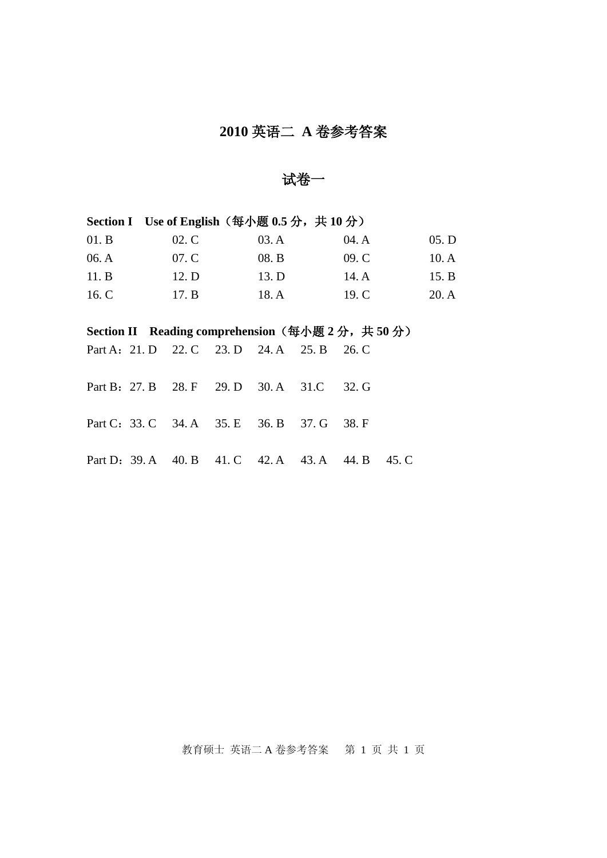# **2010** 英语二 **A** 卷参考答案

试卷一

| Section I Use of English $(\frac{4}{3} \div \frac{1}{300})$ (每小题 0.5 分, 共 10 分)            |  |       |  |       |                         |       |       |       |
|--------------------------------------------------------------------------------------------|--|-------|--|-------|-------------------------|-------|-------|-------|
| 01.B                                                                                       |  | 02. C |  | 03.A  |                         | 04. A |       | 05. D |
| 06. A                                                                                      |  | 07. C |  | 08. B |                         | 09. C |       | 10.A  |
| 11.B                                                                                       |  | 12. D |  | 13. D |                         | 14.A  |       | 15. B |
| 16. C                                                                                      |  | 17. B |  | 18. A |                         | 19. C |       | 20.A  |
|                                                                                            |  |       |  |       |                         |       |       |       |
| Section II Reading comprehension $(\frac{61}{1000})$ $(\frac{41}{100})$ $(\frac{41}{100})$ |  |       |  |       |                         |       |       |       |
| Part A: 21. D 22. C 23. D 24. A 25. B                                                      |  |       |  |       |                         | 26. C |       |       |
|                                                                                            |  |       |  |       |                         |       |       |       |
| Part B: 27. B 28. F 29. D 30. A 31. C                                                      |  |       |  |       |                         | 32. G |       |       |
|                                                                                            |  |       |  |       |                         |       |       |       |
| Part C: 33. C 34. A 35. E 36. B 37. G                                                      |  |       |  |       |                         | 38. F |       |       |
|                                                                                            |  |       |  |       |                         |       |       |       |
| Part D: 39. A 40. B                                                                        |  |       |  |       | 41. C 42. A 43. A 44. B |       | 45. C |       |